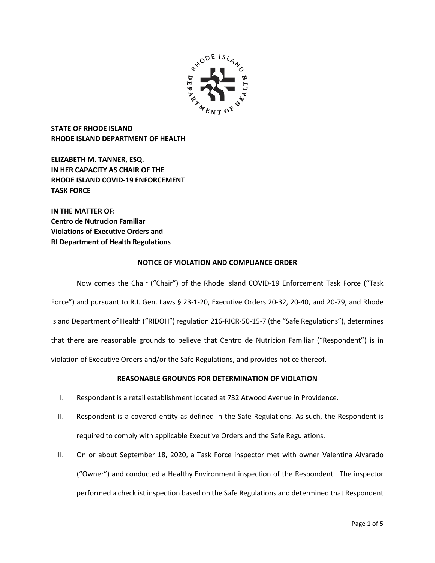

**STATE OF RHODE ISLAND RHODE ISLAND DEPARTMENT OF HEALTH**

**ELIZABETH M. TANNER, ESQ. IN HER CAPACITY AS CHAIR OF THE RHODE ISLAND COVID-19 ENFORCEMENT TASK FORCE** 

**IN THE MATTER OF: Centro de Nutrucion Familiar Violations of Executive Orders and RI Department of Health Regulations**

# **NOTICE OF VIOLATION AND COMPLIANCE ORDER**

Now comes the Chair ("Chair") of the Rhode Island COVID-19 Enforcement Task Force ("Task Force") and pursuant to R.I. Gen. Laws § 23-1-20, Executive Orders 20-32, 20-40, and 20-79, and Rhode Island Department of Health ("RIDOH") regulation 216-RICR-50-15-7 (the "Safe Regulations"), determines that there are reasonable grounds to believe that Centro de Nutricion Familiar ("Respondent") is in violation of Executive Orders and/or the Safe Regulations, and provides notice thereof.

# **REASONABLE GROUNDS FOR DETERMINATION OF VIOLATION**

- I. Respondent is a retail establishment located at 732 Atwood Avenue in Providence.
- II. Respondent is a covered entity as defined in the Safe Regulations. As such, the Respondent is required to comply with applicable Executive Orders and the Safe Regulations.
- III. On or about September 18, 2020, a Task Force inspector met with owner Valentina Alvarado ("Owner") and conducted a Healthy Environment inspection of the Respondent. The inspector performed a checklist inspection based on the Safe Regulations and determined that Respondent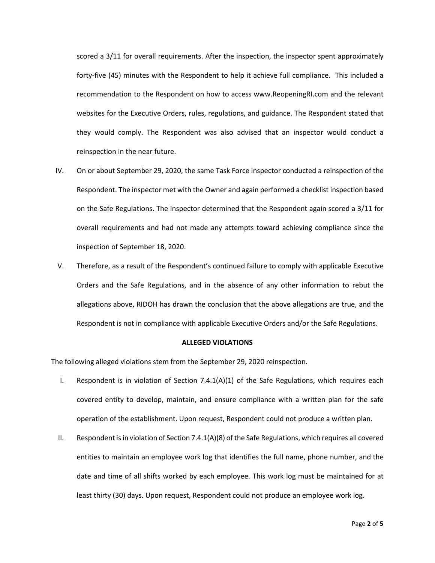scored a 3/11 for overall requirements. After the inspection, the inspector spent approximately forty-five (45) minutes with the Respondent to help it achieve full compliance. This included a recommendation to the Respondent on how to access www.ReopeningRI.com and the relevant websites for the Executive Orders, rules, regulations, and guidance. The Respondent stated that they would comply. The Respondent was also advised that an inspector would conduct a reinspection in the near future.

- IV. On or about September 29, 2020, the same Task Force inspector conducted a reinspection of the Respondent. The inspector met with the Owner and again performed a checklist inspection based on the Safe Regulations. The inspector determined that the Respondent again scored a 3/11 for overall requirements and had not made any attempts toward achieving compliance since the inspection of September 18, 2020.
- V. Therefore, as a result of the Respondent's continued failure to comply with applicable Executive Orders and the Safe Regulations, and in the absence of any other information to rebut the allegations above, RIDOH has drawn the conclusion that the above allegations are true, and the Respondent is not in compliance with applicable Executive Orders and/or the Safe Regulations.

#### **ALLEGED VIOLATIONS**

The following alleged violations stem from the September 29, 2020 reinspection.

- I. Respondent is in violation of Section  $7.4.1(A)(1)$  of the Safe Regulations, which requires each covered entity to develop, maintain, and ensure compliance with a written plan for the safe operation of the establishment. Upon request, Respondent could not produce a written plan.
- II. Respondent is in violation of Section 7.4.1(A)(8) of the Safe Regulations, which requires all covered entities to maintain an employee work log that identifies the full name, phone number, and the date and time of all shifts worked by each employee. This work log must be maintained for at least thirty (30) days. Upon request, Respondent could not produce an employee work log.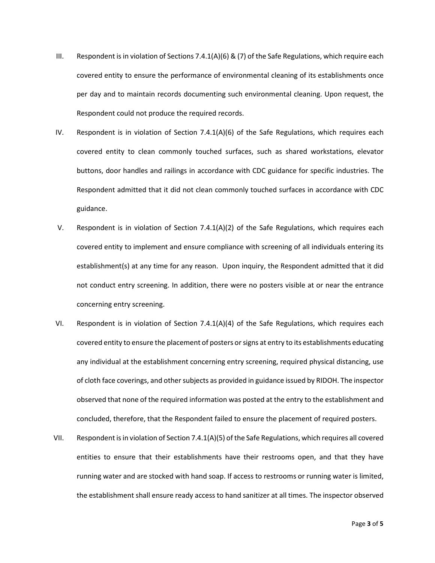- III. Respondent is in violation of Sections 7.4.1(A)(6) & (7) of the Safe Regulations, which require each covered entity to ensure the performance of environmental cleaning of its establishments once per day and to maintain records documenting such environmental cleaning. Upon request, the Respondent could not produce the required records.
- IV. Respondent is in violation of Section 7.4.1(A)(6) of the Safe Regulations, which requires each covered entity to clean commonly touched surfaces, such as shared workstations, elevator buttons, door handles and railings in accordance with CDC guidance for specific industries. The Respondent admitted that it did not clean commonly touched surfaces in accordance with CDC guidance.
- V. Respondent is in violation of Section 7.4.1(A)(2) of the Safe Regulations, which requires each covered entity to implement and ensure compliance with screening of all individuals entering its establishment(s) at any time for any reason. Upon inquiry, the Respondent admitted that it did not conduct entry screening. In addition, there were no posters visible at or near the entrance concerning entry screening.
- VI. Respondent is in violation of Section 7.4.1(A)(4) of the Safe Regulations, which requires each covered entity to ensure the placement of posters or signs at entry to its establishments educating any individual at the establishment concerning entry screening, required physical distancing, use of cloth face coverings, and other subjects as provided in guidance issued by RIDOH. The inspector observed that none of the required information was posted at the entry to the establishment and concluded, therefore, that the Respondent failed to ensure the placement of required posters.
- VII. Respondent is in violation of Section 7.4.1(A)(5) of the Safe Regulations, which requires all covered entities to ensure that their establishments have their restrooms open, and that they have running water and are stocked with hand soap. If access to restrooms or running water is limited, the establishment shall ensure ready access to hand sanitizer at all times. The inspector observed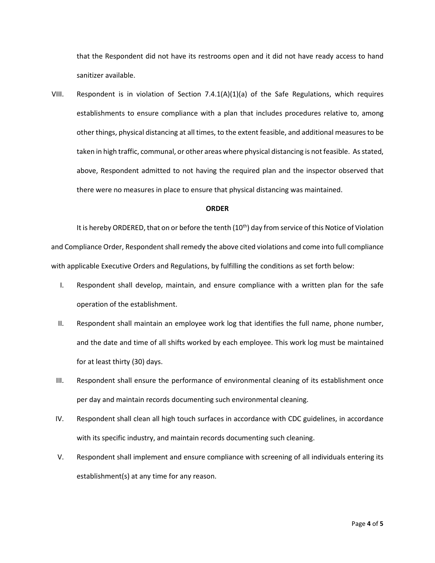that the Respondent did not have its restrooms open and it did not have ready access to hand sanitizer available.

VIII. Respondent is in violation of Section 7.4.1(A)(1)(a) of the Safe Regulations, which requires establishments to ensure compliance with a plan that includes procedures relative to, among other things, physical distancing at all times, to the extent feasible, and additional measures to be taken in high traffic, communal, or other areas where physical distancing is not feasible. As stated, above, Respondent admitted to not having the required plan and the inspector observed that there were no measures in place to ensure that physical distancing was maintained.

#### **ORDER**

It is hereby ORDERED, that on or before the tenth  $(10<sup>th</sup>)$  day from service of this Notice of Violation and Compliance Order, Respondent shall remedy the above cited violations and come into full compliance with applicable Executive Orders and Regulations, by fulfilling the conditions as set forth below:

- I. Respondent shall develop, maintain, and ensure compliance with a written plan for the safe operation of the establishment.
- II. Respondent shall maintain an employee work log that identifies the full name, phone number, and the date and time of all shifts worked by each employee. This work log must be maintained for at least thirty (30) days.
- III. Respondent shall ensure the performance of environmental cleaning of its establishment once per day and maintain records documenting such environmental cleaning.
- IV. Respondent shall clean all high touch surfaces in accordance with CDC guidelines, in accordance with its specific industry, and maintain records documenting such cleaning.
- V. Respondent shall implement and ensure compliance with screening of all individuals entering its establishment(s) at any time for any reason.